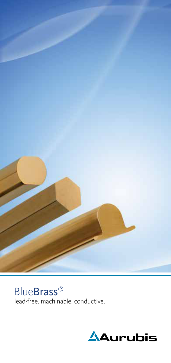

## BlueBrass®

lead-free. machinable. conductive.

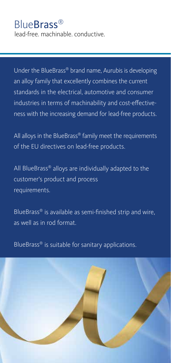## BlueBrass®

lead-free. machinable. conductive.

Under the BlueBrass® brand name, Aurubis is developing an alloy family that excellently combines the current standards in the electrical, automotive and consumer industries in terms of machinability and cost-effectiveness with the increasing demand for lead-free products.

All alloys in the BlueBrass® family meet the requirements of the EU directives on lead-free products.

All BlueBrass® alloys are individually adapted to the customer's product and process requirements.

BlueBrass® is available as semi-finished strip and wire, as well as in rod format.

BlueBrass® is suitable for sanitary applications.

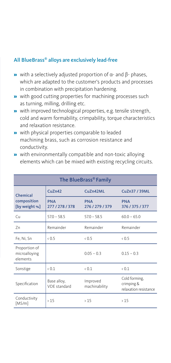## All BlueBrass® alloys are exclusively lead-free

- with a selectively adjusted proportion of  $\alpha$  and  $\beta$  phases, which are adapted to the customer's products and processes in combination with precipitation hardening.
- » with good cutting properties for machining processes such as turning, milling, drilling etc.
- » with improved technological properties, e.g. tensile strength, cold and warm formability, crimpability, torque characteristics and relaxation resistance.
- » with physical properties comparable to leaded machining brass, such as corrosion resistance and conductivity.

| The BlueBrass® Family                      |                               |                               |                                                      |
|--------------------------------------------|-------------------------------|-------------------------------|------------------------------------------------------|
| Chemical<br>composition<br>[by weight %]   | CuZn42                        | CuZn42ML                      | CuZn37 / 39ML                                        |
|                                            | <b>PNA</b><br>277 / 278 / 378 | <b>PNA</b><br>276 / 279 / 379 | <b>PNA</b><br>376 / 375 / 377                        |
| Cп                                         | $57.0 - 58.5$                 | $57.0 - 58.5$                 | $60.0 - 65.0$                                        |
| 7n                                         | Remainder                     | Remainder                     | Remainder                                            |
| Fe, Ni, Sn                                 | 0.5                           | 0.5                           | 0.5                                                  |
| Proportion of<br>microalloying<br>elements |                               | $0.05 - 0.3$                  | $0.15 - 0.3$                                         |
| Sonstige                                   | 0.1                           | 0.1                           | 0.1                                                  |
| Specification                              | Base alloy,<br>VDE standard   | Improved<br>machinability     | Cold forming,<br>crimping &<br>relaxation resistance |
| Conductivity<br>[MS/m]                     | >15                           | >15                           | >15                                                  |

» with environmentally compatible and non-toxic alloying elements which can be mixed with existing recycling circuits.